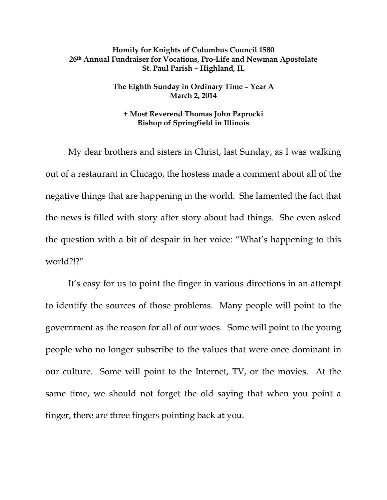## **Homily for Knights of Columbus Council 1580 26th Annual Fundraiser for Vocations, Pro-Life and Newman Apostolate St. Paul Parish – Highland, IL**

## **The Eighth Sunday in Ordinary Time – Year A March 2, 2014**

## **+ Most Reverend Thomas John Paprocki Bishop of Springfield in Illinois**

My dear brothers and sisters in Christ, last Sunday, as I was walking out of a restaurant in Chicago, the hostess made a comment about all of the negative things that are happening in the world. She lamented the fact that the news is filled with story after story about bad things. She even asked the question with a bit of despair in her voice: "What's happening to this world?!?"

It's easy for us to point the finger in various directions in an attempt to identify the sources of those problems. Many people will point to the government as the reason for all of our woes. Some will point to the young people who no longer subscribe to the values that were once dominant in our culture. Some will point to the Internet, TV, or the movies. At the same time, we should not forget the old saying that when you point a finger, there are three fingers pointing back at you.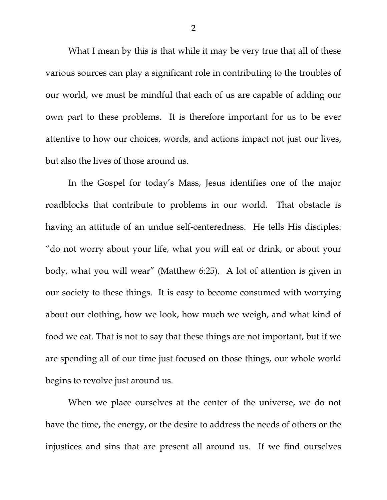What I mean by this is that while it may be very true that all of these various sources can play a significant role in contributing to the troubles of our world, we must be mindful that each of us are capable of adding our own part to these problems. It is therefore important for us to be ever attentive to how our choices, words, and actions impact not just our lives, but also the lives of those around us.

In the Gospel for today's Mass, Jesus identifies one of the major roadblocks that contribute to problems in our world. That obstacle is having an attitude of an undue self-centeredness. He tells His disciples: "do not worry about your life, what you will eat or drink, or about your body, what you will wear" (Matthew 6:25). A lot of attention is given in our society to these things. It is easy to become consumed with worrying about our clothing, how we look, how much we weigh, and what kind of food we eat. That is not to say that these things are not important, but if we are spending all of our time just focused on those things, our whole world begins to revolve just around us.

When we place ourselves at the center of the universe, we do not have the time, the energy, or the desire to address the needs of others or the injustices and sins that are present all around us. If we find ourselves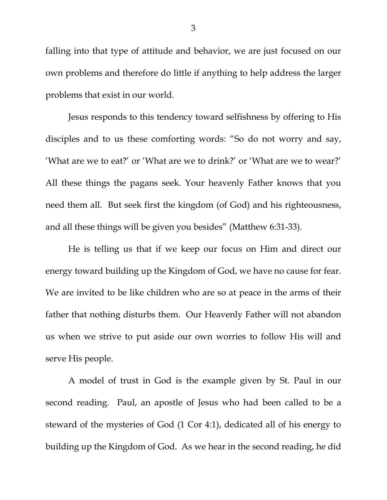falling into that type of attitude and behavior, we are just focused on our own problems and therefore do little if anything to help address the larger problems that exist in our world.

Jesus responds to this tendency toward selfishness by offering to His disciples and to us these comforting words: "So do not worry and say, 'What are we to eat?' or 'What are we to drink?' or 'What are we to wear?' All these things the pagans seek. Your heavenly Father knows that you need them all. But seek first the kingdom (of God) and his righteousness, and all these things will be given you besides" (Matthew 6:31-33).

He is telling us that if we keep our focus on Him and direct our energy toward building up the Kingdom of God, we have no cause for fear. We are invited to be like children who are so at peace in the arms of their father that nothing disturbs them. Our Heavenly Father will not abandon us when we strive to put aside our own worries to follow His will and serve His people.

A model of trust in God is the example given by St. Paul in our second reading. Paul, an apostle of Jesus who had been called to be a steward of the mysteries of God (1 Cor 4:1), dedicated all of his energy to building up the Kingdom of God. As we hear in the second reading, he did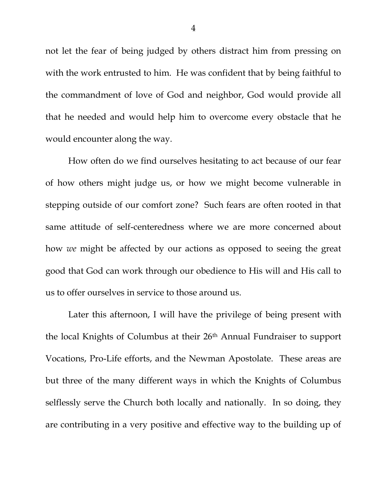not let the fear of being judged by others distract him from pressing on with the work entrusted to him. He was confident that by being faithful to the commandment of love of God and neighbor, God would provide all that he needed and would help him to overcome every obstacle that he would encounter along the way.

How often do we find ourselves hesitating to act because of our fear of how others might judge us, or how we might become vulnerable in stepping outside of our comfort zone? Such fears are often rooted in that same attitude of self-centeredness where we are more concerned about how *we* might be affected by our actions as opposed to seeing the great good that God can work through our obedience to His will and His call to us to offer ourselves in service to those around us.

Later this afternoon, I will have the privilege of being present with the local Knights of Columbus at their 26th Annual Fundraiser to support Vocations, Pro-Life efforts, and the Newman Apostolate. These areas are but three of the many different ways in which the Knights of Columbus selflessly serve the Church both locally and nationally. In so doing, they are contributing in a very positive and effective way to the building up of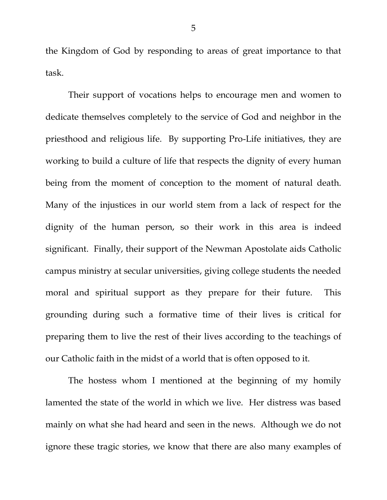the Kingdom of God by responding to areas of great importance to that task.

Their support of vocations helps to encourage men and women to dedicate themselves completely to the service of God and neighbor in the priesthood and religious life. By supporting Pro-Life initiatives, they are working to build a culture of life that respects the dignity of every human being from the moment of conception to the moment of natural death. Many of the injustices in our world stem from a lack of respect for the dignity of the human person, so their work in this area is indeed significant. Finally, their support of the Newman Apostolate aids Catholic campus ministry at secular universities, giving college students the needed moral and spiritual support as they prepare for their future. This grounding during such a formative time of their lives is critical for preparing them to live the rest of their lives according to the teachings of our Catholic faith in the midst of a world that is often opposed to it.

The hostess whom I mentioned at the beginning of my homily lamented the state of the world in which we live. Her distress was based mainly on what she had heard and seen in the news. Although we do not ignore these tragic stories, we know that there are also many examples of